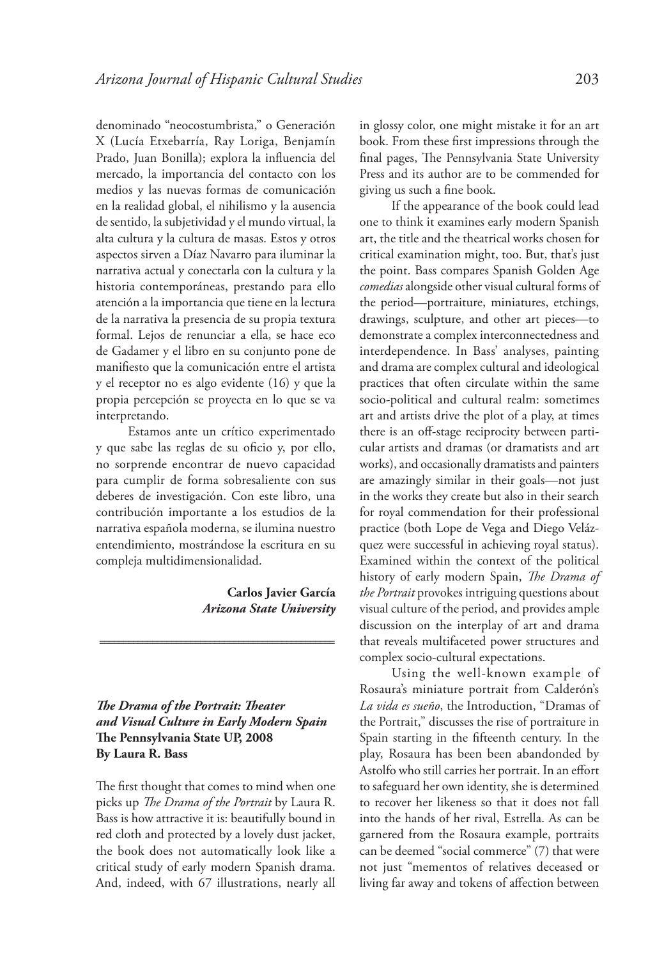denominado "neocostumbrista," o Generación X (Lucía Etxebarría, Ray Loriga, Benjamín Prado, Juan Bonilla); explora la influencia del mercado, la importancia del contacto con los medios y las nuevas formas de comunicación en la realidad global, el nihilismo y la ausencia de sentido, la subjetividad y el mundo virtual, la alta cultura y la cultura de masas. Estos y otros aspectos sirven a Díaz Navarro para iluminar la narrativa actual y conectarla con la cultura y la historia contemporáneas, prestando para ello atención a la importancia que tiene en la lectura de la narrativa la presencia de su propia textura formal. Lejos de renunciar a ella, se hace eco de Gadamer y el libro en su conjunto pone de manifiesto que la comunicación entre el artista y el receptor no es algo evidente (16) y que la propia percepción se proyecta en lo que se va interpretando.

Estamos ante un crítico experimentado y que sabe las reglas de su oficio y, por ello, no sorprende encontrar de nuevo capacidad para cumplir de forma sobresaliente con sus deberes de investigación. Con este libro, una contribución importante a los estudios de la narrativa española moderna, se ilumina nuestro entendimiento, mostrándose la escritura en su compleja multidimensionalidad.

> **Carlos Javier García** *Arizona State University*

*The Drama of the Portrait: Theater and Visual Culture in Early Modern Spain* **The Pennsylvania State UP, 2008 By Laura R. Bass**

=================================================

The first thought that comes to mind when one picks up *The Drama of the Portrait* by Laura R. Bass is how attractive it is: beautifully bound in red cloth and protected by a lovely dust jacket, the book does not automatically look like a critical study of early modern Spanish drama. And, indeed, with 67 illustrations, nearly all

in glossy color, one might mistake it for an art book. From these first impressions through the final pages, The Pennsylvania State University Press and its author are to be commended for giving us such a fine book.

If the appearance of the book could lead one to think it examines early modern Spanish art, the title and the theatrical works chosen for critical examination might, too. But, that's just the point. Bass compares Spanish Golden Age *comedias* alongside other visual cultural forms of the period—portraiture, miniatures, etchings, drawings, sculpture, and other art pieces—to demonstrate a complex interconnectedness and interdependence. In Bass' analyses, painting and drama are complex cultural and ideological practices that often circulate within the same socio-political and cultural realm: sometimes art and artists drive the plot of a play, at times there is an off-stage reciprocity between particular artists and dramas (or dramatists and art works), and occasionally dramatists and painters are amazingly similar in their goals—not just in the works they create but also in their search for royal commendation for their professional practice (both Lope de Vega and Diego Velázquez were successful in achieving royal status). Examined within the context of the political history of early modern Spain, *The Drama of the Portrait* provokes intriguing questions about visual culture of the period, and provides ample discussion on the interplay of art and drama that reveals multifaceted power structures and complex socio-cultural expectations.

Using the well-known example of Rosaura's miniature portrait from Calderón's *La vida es sueño*, the Introduction, "Dramas of the Portrait," discusses the rise of portraiture in Spain starting in the fifteenth century. In the play, Rosaura has been been abandonded by Astolfo who still carries her portrait. In an effort to safeguard her own identity, she is determined to recover her likeness so that it does not fall into the hands of her rival, Estrella. As can be garnered from the Rosaura example, portraits can be deemed "social commerce" (7) that were not just "mementos of relatives deceased or living far away and tokens of affection between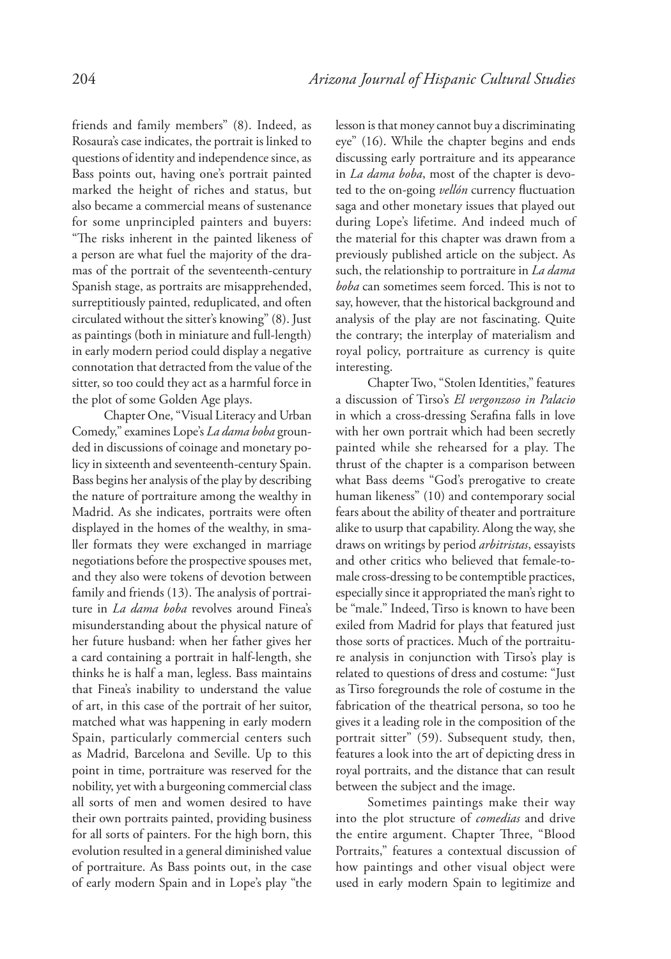friends and family members" (8). Indeed, as Rosaura's case indicates, the portrait is linked to questions of identity and independence since, as Bass points out, having one's portrait painted marked the height of riches and status, but also became a commercial means of sustenance for some unprincipled painters and buyers: "The risks inherent in the painted likeness of a person are what fuel the majority of the dramas of the portrait of the seventeenth-century Spanish stage, as portraits are misapprehended, surreptitiously painted, reduplicated, and often circulated without the sitter's knowing" (8). Just as paintings (both in miniature and full-length) in early modern period could display a negative connotation that detracted from the value of the sitter, so too could they act as a harmful force in the plot of some Golden Age plays.

Chapter One, "Visual Literacy and Urban Comedy," examines Lope's *La dama boba* grounded in discussions of coinage and monetary policy in sixteenth and seventeenth-century Spain. Bass begins her analysis of the play by describing the nature of portraiture among the wealthy in Madrid. As she indicates, portraits were often displayed in the homes of the wealthy, in smaller formats they were exchanged in marriage negotiations before the prospective spouses met, and they also were tokens of devotion between family and friends (13). The analysis of portraiture in *La dama boba* revolves around Finea's misunderstanding about the physical nature of her future husband: when her father gives her a card containing a portrait in half-length, she thinks he is half a man, legless. Bass maintains that Finea's inability to understand the value of art, in this case of the portrait of her suitor, matched what was happening in early modern Spain, particularly commercial centers such as Madrid, Barcelona and Seville. Up to this point in time, portraiture was reserved for the nobility, yet with a burgeoning commercial class all sorts of men and women desired to have their own portraits painted, providing business for all sorts of painters. For the high born, this evolution resulted in a general diminished value of portraiture. As Bass points out, in the case of early modern Spain and in Lope's play "the lesson is that money cannot buy a discriminating eye" (16). While the chapter begins and ends discussing early portraiture and its appearance in *La dama boba*, most of the chapter is devoted to the on-going *vellón* currency fluctuation saga and other monetary issues that played out during Lope's lifetime. And indeed much of the material for this chapter was drawn from a previously published article on the subject. As such, the relationship to portraiture in *La dama boba* can sometimes seem forced. This is not to say, however, that the historical background and analysis of the play are not fascinating. Quite the contrary; the interplay of materialism and royal policy, portraiture as currency is quite interesting.

Chapter Two, "Stolen Identities," features a discussion of Tirso's *El vergonzoso in Palacio* in which a cross-dressing Serafina falls in love with her own portrait which had been secretly painted while she rehearsed for a play. The thrust of the chapter is a comparison between what Bass deems "God's prerogative to create human likeness" (10) and contemporary social fears about the ability of theater and portraiture alike to usurp that capability. Along the way, she draws on writings by period *arbitristas*, essayists and other critics who believed that female-tomale cross-dressing to be contemptible practices, especially since it appropriated the man's right to be "male." Indeed, Tirso is known to have been exiled from Madrid for plays that featured just those sorts of practices. Much of the portraiture analysis in conjunction with Tirso's play is related to questions of dress and costume: "Just as Tirso foregrounds the role of costume in the fabrication of the theatrical persona, so too he gives it a leading role in the composition of the portrait sitter" (59). Subsequent study, then, features a look into the art of depicting dress in royal portraits, and the distance that can result between the subject and the image.

Sometimes paintings make their way into the plot structure of *comedias* and drive the entire argument. Chapter Three, "Blood Portraits," features a contextual discussion of how paintings and other visual object were used in early modern Spain to legitimize and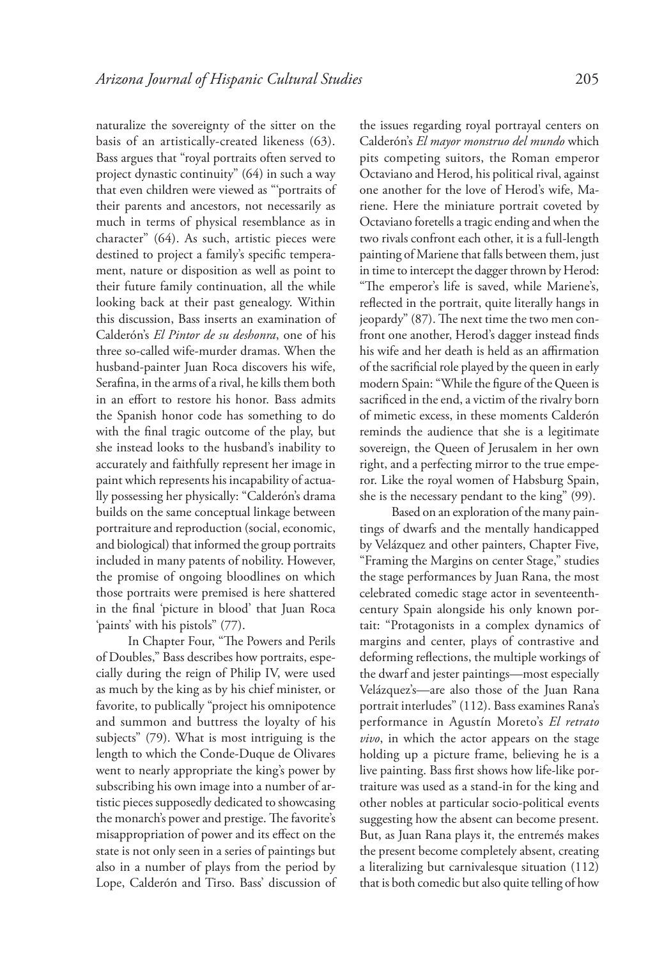naturalize the sovereignty of the sitter on the basis of an artistically-created likeness (63). Bass argues that "royal portraits often served to project dynastic continuity" (64) in such a way that even children were viewed as "'portraits of their parents and ancestors, not necessarily as much in terms of physical resemblance as in character" (64). As such, artistic pieces were destined to project a family's specific temperament, nature or disposition as well as point to their future family continuation, all the while looking back at their past genealogy. Within this discussion, Bass inserts an examination of Calderón's *El Pintor de su deshonra*, one of his three so-called wife-murder dramas. When the husband-painter Juan Roca discovers his wife, Serafina, in the arms of a rival, he kills them both in an effort to restore his honor. Bass admits the Spanish honor code has something to do with the final tragic outcome of the play, but she instead looks to the husband's inability to accurately and faithfully represent her image in paint which represents his incapability of actually possessing her physically: "Calderón's drama builds on the same conceptual linkage between portraiture and reproduction (social, economic, and biological) that informed the group portraits included in many patents of nobility. However, the promise of ongoing bloodlines on which those portraits were premised is here shattered in the final 'picture in blood' that Juan Roca 'paints' with his pistols" (77).

In Chapter Four, "The Powers and Perils of Doubles," Bass describes how portraits, especially during the reign of Philip IV, were used as much by the king as by his chief minister, or favorite, to publically "project his omnipotence and summon and buttress the loyalty of his subjects" (79). What is most intriguing is the length to which the Conde-Duque de Olivares went to nearly appropriate the king's power by subscribing his own image into a number of artistic pieces supposedly dedicated to showcasing the monarch's power and prestige. The favorite's misappropriation of power and its effect on the state is not only seen in a series of paintings but also in a number of plays from the period by Lope, Calderón and Tirso. Bass' discussion of

the issues regarding royal portrayal centers on Calderón's *El mayor monstruo del mundo* which pits competing suitors, the Roman emperor Octaviano and Herod, his political rival, against one another for the love of Herod's wife, Mariene. Here the miniature portrait coveted by Octaviano foretells a tragic ending and when the two rivals confront each other, it is a full-length painting of Mariene that falls between them, just in time to intercept the dagger thrown by Herod: "The emperor's life is saved, while Mariene's, reflected in the portrait, quite literally hangs in jeopardy" (87). The next time the two men confront one another, Herod's dagger instead finds his wife and her death is held as an affirmation of the sacrificial role played by the queen in early modern Spain: "While the figure of the Queen is sacrificed in the end, a victim of the rivalry born of mimetic excess, in these moments Calderón reminds the audience that she is a legitimate sovereign, the Queen of Jerusalem in her own right, and a perfecting mirror to the true emperor. Like the royal women of Habsburg Spain, she is the necessary pendant to the king" (99).

Based on an exploration of the many paintings of dwarfs and the mentally handicapped by Velázquez and other painters, Chapter Five, "Framing the Margins on center Stage," studies the stage performances by Juan Rana, the most celebrated comedic stage actor in seventeenthcentury Spain alongside his only known portait: "Protagonists in a complex dynamics of margins and center, plays of contrastive and deforming reflections, the multiple workings of the dwarf and jester paintings—most especially Velázquez's—are also those of the Juan Rana portrait interludes" (112). Bass examines Rana's performance in Agustín Moreto's *El retrato vivo*, in which the actor appears on the stage holding up a picture frame, believing he is a live painting. Bass first shows how life-like portraiture was used as a stand-in for the king and other nobles at particular socio-political events suggesting how the absent can become present. But, as Juan Rana plays it, the entremés makes the present become completely absent, creating a literalizing but carnivalesque situation (112) that is both comedic but also quite telling of how